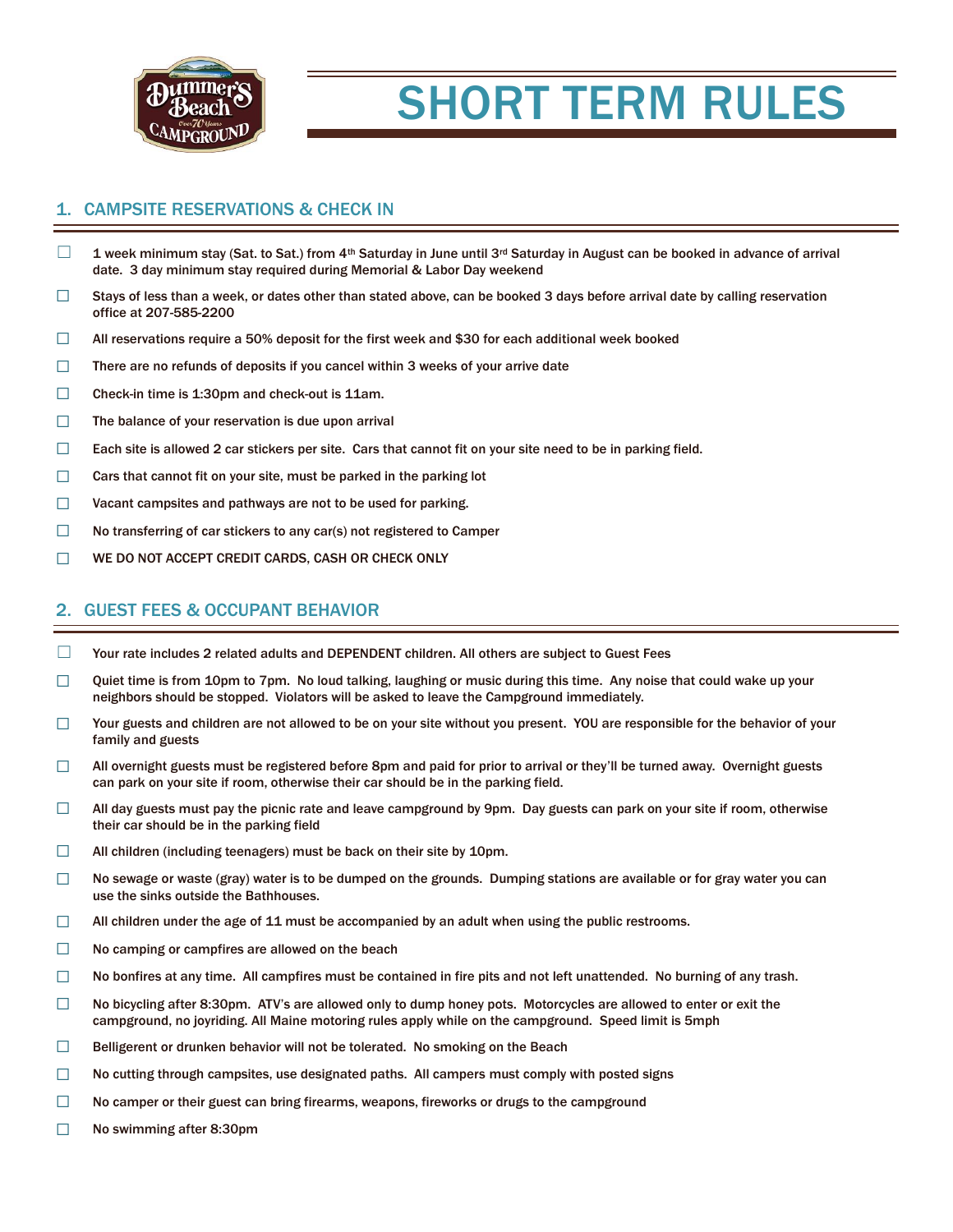

# SHORT TERM RULES

## 1. CAMPSITE RESERVATIONS & CHECK IN

- $\Box$  1 week minimum stay (Sat. to Sat.) from 4<sup>th</sup> Saturday in June until 3<sup>rd</sup> Saturday in August can be booked in advance of arrival date. 3 day minimum stay required during Memorial & Labor Day weekend
- $\Box$  Stays of less than a week, or dates other than stated above, can be booked 3 days before arrival date by calling reservation office at 207-585-2200
- $\Box$  All reservations require a 50% deposit for the first week and \$30 for each additional week booked
- ☐ There are no refunds of deposits if you cancel within 3 weeks of your arrive date
- ☐ Check-in time is 1:30pm and check-out is 11am.
- $\Box$  The balance of your reservation is due upon arrival
- $\Box$  Each site is allowed 2 car stickers per site. Cars that cannot fit on your site need to be in parking field.
- $\Box$  Cars that cannot fit on your site, must be parked in the parking lot
- ☐ Vacant campsites and pathways are not to be used for parking.
- ☐ No transferring of car stickers to any car(s) not registered to Camper
- ☐ WE DO NOT ACCEPT CREDIT CARDS, CASH OR CHECK ONLY

### 2. GUEST FEES & OCCUPANT BEHAVIOR

- $\Box$  Your rate includes 2 related adults and DEPENDENT children. All others are subject to Guest Fees
- $\Box$  Quiet time is from 10pm to 7pm. No loud talking, laughing or music during this time. Any noise that could wake up your neighbors should be stopped. Violators will be asked to leave the Campground immediately.
- □ Your guests and children are not allowed to be on your site without you present. YOU are responsible for the behavior of your family and guests
- ☐ All overnight guests must be registered before 8pm and paid for prior to arrival or they'll be turned away. Overnight guests can park on your site if room, otherwise their car should be in the parking field.
- $\Box$  All day guests must pay the picnic rate and leave campground by 9pm. Day guests can park on your site if room, otherwise their car should be in the parking field
- □ All children (including teenagers) must be back on their site by 10pm.
- $\square$  No sewage or waste (gray) water is to be dumped on the grounds. Dumping stations are available or for gray water you can use the sinks outside the Bathhouses.
- $\Box$  All children under the age of 11 must be accompanied by an adult when using the public restrooms.
- ☐ No camping or campfires are allowed on the beach
- $\Box$  No bonfires at any time. All campfires must be contained in fire pits and not left unattended. No burning of any trash.
- $\Box$  No bicycling after 8:30pm. ATV's are allowed only to dump honey pots. Motorcycles are allowed to enter or exit the campground, no joyriding. All Maine motoring rules apply while on the campground. Speed limit is 5mph
- $\Box$  Belligerent or drunken behavior will not be tolerated. No smoking on the Beach
- $\Box$  No cutting through campsites, use designated paths. All campers must comply with posted signs
- ☐ No camper or their guest can bring firearms, weapons, fireworks or drugs to the campground
- ☐ No swimming after 8:30pm